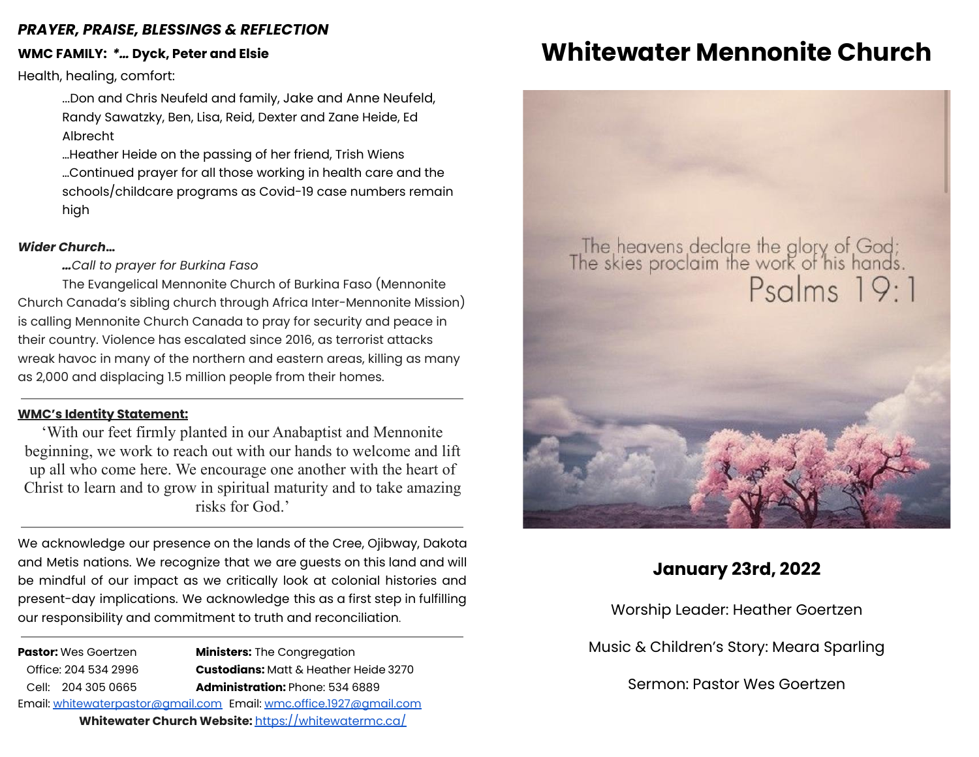### *PRAYER, PRAISE, BLESSINGS & REFLECTION*

### **WMC FAMILY:** *\*…* **Dyck, Peter and Elsie**

Health, healing, comfort:

...Don and Chris Neufeld and family, Jake and Anne Neufeld, Randy Sawatzky, Ben, Lisa, Reid, Dexter and Zane Heide, Ed Albrecht

…Heather Heide on the passing of her friend, Trish Wiens …Continued prayer for all those working in health care and the schools/childcare programs as Covid-19 case numbers remain high

### *Wider Church***…**

*…Call to prayer for Burkina Faso*

The Evangelical Mennonite Church of Burkina Faso (Mennonite Church Canada's sibling church through Africa Inter-Mennonite Mission) is calling Mennonite Church Canada to pray for security and peace in their country. Violence has escalated since 2016, as terrorist attacks wreak havoc in many of the northern and eastern areas, killing as many as 2,000 and displacing 1.5 million people from their homes.

### **WMC's Identity Statement:**

'With our feet firmly planted in our Anabaptist and Mennonite beginning, we work to reach out with our hands to welcome and lift up all who come here. We encourage one another with the heart of Christ to learn and to grow in spiritual maturity and to take amazing risks for God.'

We acknowledge our presence on the lands of the Cree, Ojibway, Dakota and Metis nations. We recognize that we are guests on this land and will be mindful of our impact as we critically look at colonial histories and present-day implications. We acknowledge this as a first step in fulfilling our responsibility and commitment to truth and reconciliation.

**Pastor:** Wes Goertzen **Ministers:** The Congregation Office: 204 534 2996 **Custodians:** Matt & Heather Heide 3270 Cell: 204 305 0665 **Administration:** Phone: 534 6889 Email: [whitewaterpastor@gmail.com](mailto:whitewaterpastor@gmail.com) Email: [wmc.office.1927@gmail.com](mailto:wmc.office.1927@gmail.com) **Whitewater Church Website:** <https://whitewatermc.ca/>

# **Whitewater Mennonite Church**

# The heavens declare the glory of God;<br>The skies proclaim the work of his hands.<br>Psalms 19:1

# **January 23rd, 2022**

Worship Leader: Heather Goertzen

Music & Children's Story: Meara Sparling

Sermon: Pastor Wes Goertzen